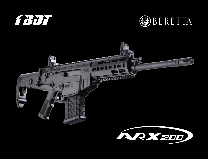





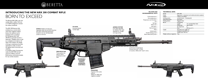

## **INTRODUCING THE NEW ARX 200 COMBAT RIFLE** Born to exceEd

The Beretta ARX 200 is the new combat rifle in calibre 7.62 mm x 51 NATO, designed to exceed the military standards.

The ARX 200 features fully ambidextrous controls (bolt catch lever, magazine release button, fire selector) and is equipped with an interface for the Beretta GLX 160 (40x46mm) grenade launcher, a telescopic / foldable stock as well as a complete set of rails on all sides of the weapon. The design of the gun components has been optimised in order to ensure the highest level of accuracy and reliability.

**STOCK** Foldable and telescopic. Adjustable cheek rest and shock absorber back plate. 4 fixed sling attachments located on the rear and detachable swivels on the front.

 $-1001000 - 55$ 

--

A complete range of accessories makes the ARX 200 the best choice for Military and Law Enforcement community, suitable for any combat situation.

**Aiming system**

and range setting.

\_\_\_\_\_\_\_\_

## **MILITARY AND ENVIRONMENTAL TESTS**



**Magazine** Capacity of 20 rounds, polymer. Adapter for SR25 type magazines available.

**BERETTA** 



**Fire selector** Three position fire selector device positioned on both sides.

**REVERSIBLE COCKING HANDLE. Oversized controls**

œ

**ICS 6X40** Innovative Steiner Combat Sight.

## Cold hammer forged barrel. Precision less than 1.5 MOA (5 rounds at 100m) with "match" ammo.

## **TECHNICAL DATA**

| Model                     | <b>ARX 200</b>                                       |                          |
|---------------------------|------------------------------------------------------|--------------------------|
| Frame                     | Ergonomic in aluminium and reinforced techno polymer |                          |
| Caliber                   | 7,62x51 mm NATO                                      |                          |
| Locking system            | Locked breech - Rotating bolt                        |                          |
| Operating system          | Gas piston                                           |                          |
| Feeding system            | Magazine feed                                        |                          |
| <b>Barrel</b>             | <b>Full floating</b>                                 |                          |
|                           | Length                                               | 16" excluded flash hider |
|                           | <b>Rifling type</b>                                  | right handed             |
|                           | Nr. of grooves                                       | 4                        |
|                           | Pitch                                                | $279$ mm $(11")$         |
| Length                    | Extended stock 1000 mm                               |                          |
|                           | Collapsed stock 890 mm                               |                          |
|                           | Folded stock 730 mm                                  |                          |
| Weight (without magazine) | $4$ kg                                               |                          |